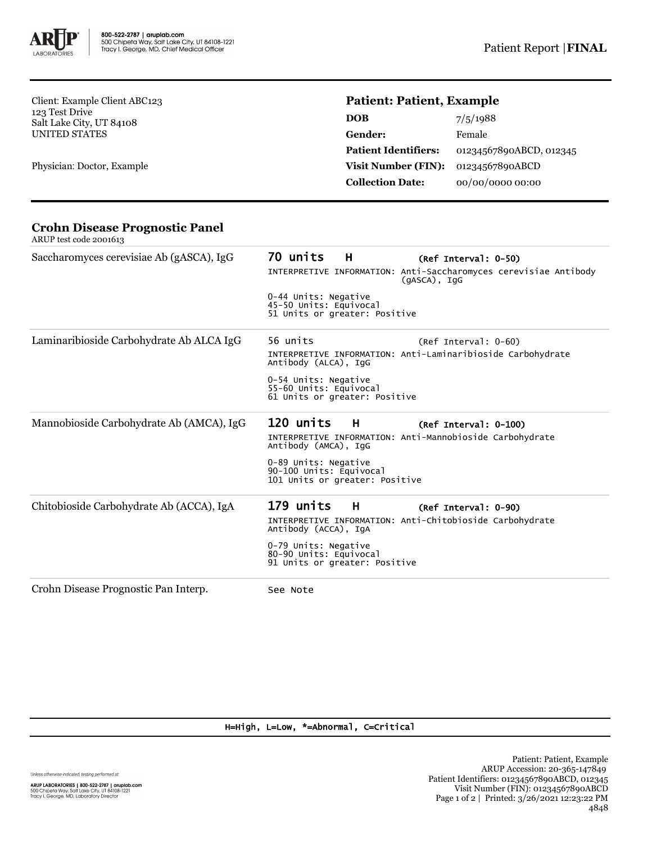

Client: Example Client ABC123 123 Test Drive Salt Lake City, UT 84108 UNITED STATES

Physician: Doctor, Example

# **Patient: Patient, Example**

| DOB                         | 7/5/1988                |
|-----------------------------|-------------------------|
| Gender:                     | Female                  |
| <b>Patient Identifiers:</b> | 01234567890ABCD, 012345 |
| <b>Visit Number (FIN):</b>  | 01234567890ABCD         |
| <b>Collection Date:</b>     | 00/00/0000 00:00        |

#### **Crohn Disease Prognostic Panel** ARUP test code 2001613

| Saccharomyces cerevisiae Ab (gASCA), IgG | 70 units<br>H H<br>(Ref Interval: 0-50)<br>INTERPRETIVE INFORMATION: Anti-Saccharomyces cerevisiae Antibody<br>$(qASCA)$ , IqG<br>0-44 Units: Negative<br>45-50 Units: Equivocal<br>51 Units or greater: Positive |
|------------------------------------------|-------------------------------------------------------------------------------------------------------------------------------------------------------------------------------------------------------------------|
| Laminaribioside Carbohydrate Ab ALCA IgG | 56 units<br>$(Ref Interval: 0-60)$<br>INTERPRETIVE INFORMATION: Anti-Laminaribioside Carbohydrate<br>Antibody (ALCA), IqG<br>0-54 Units: Negative<br>55-60 Units: Equivocal<br>61 Units or greater: Positive      |
| Mannobioside Carbohydrate Ab (AMCA), IgG | 120 units<br>H<br>(Ref Interval: 0-100)<br>INTERPRETIVE INFORMATION: Anti-Mannobioside Carbohydrate<br>Antibody (AMCA), IgG<br>0-89 Units: Negative<br>90-100 Units: Equivocal<br>101 Units or greater: Positive  |
| Chitobioside Carbohydrate Ab (ACCA), IgA | 179 units<br>н<br>(Ref Interval: 0-90)<br>INTERPRETIVE INFORMATION: Anti-Chitobioside Carbohydrate<br>Antibody (ACCA), IgA<br>0-79 Units: Negative<br>80-90 Units: Equivocal<br>91 Units or greater: Positive     |
| Crohn Disease Prognostic Pan Interp.     | See Note                                                                                                                                                                                                          |

### H=High, L=Low, \*=Abnormal, C=Critical

Unless otherwise indicated, testing performed at:

**ARUP LABORATORIES | 800-522-2787 | aruplab.com**<br>500 Chipeta Way, Salt Lake City, UT 84108-1221<br>Tracy I. George, MD, Laboratory Director